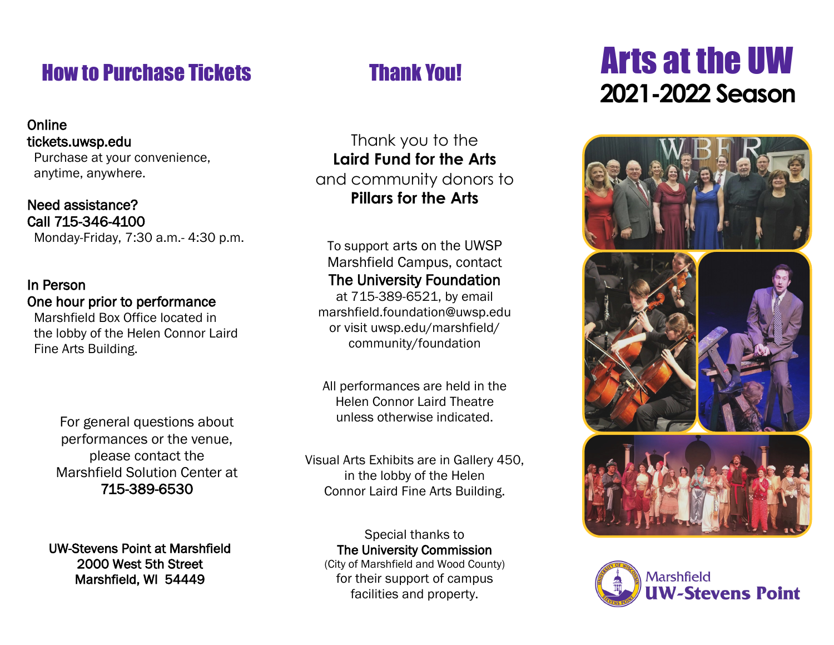# How to Purchase Tickets

#### **Online** tickets.uwsp.edu

 Purchase at your convenience, anytime, anywhere.

#### Need assistance? Call 715-346-4100

Monday-Friday, 7:30 a.m.- 4:30 p.m.

#### In Person One hour prior to performance

 Marshfield Box Office located in the lobby of the Helen Connor Laird Fine Arts Building.

> For general questions about performances or the venue, please contact the Marshfield Solution Center at 715-389-6530

UW-Stevens Point at Marshfield 2000 West 5th Street Marshfield, WI 54449

### Thank You!

Thank you to the **Laird Fund for the Arts**  and community donors to **Pillars for the Arts**

To support arts on the UWSP Marshfield Campus, contact The University Foundation

at 715-389-6521, by email marshfield.foundation@uwsp.edu or visit uwsp.edu/marshfield/ community/foundation

All performances are held in the Helen Connor Laird Theatre unless otherwise indicated.

Visual Arts Exhibits are in Gallery 450, in the lobby of the Helen Connor Laird Fine Arts Building.

Special thanks to The University Commission (City of Marshfield and Wood County) for their support of campus facilities and property.

# **2021-2022 Season** Arts at the UW